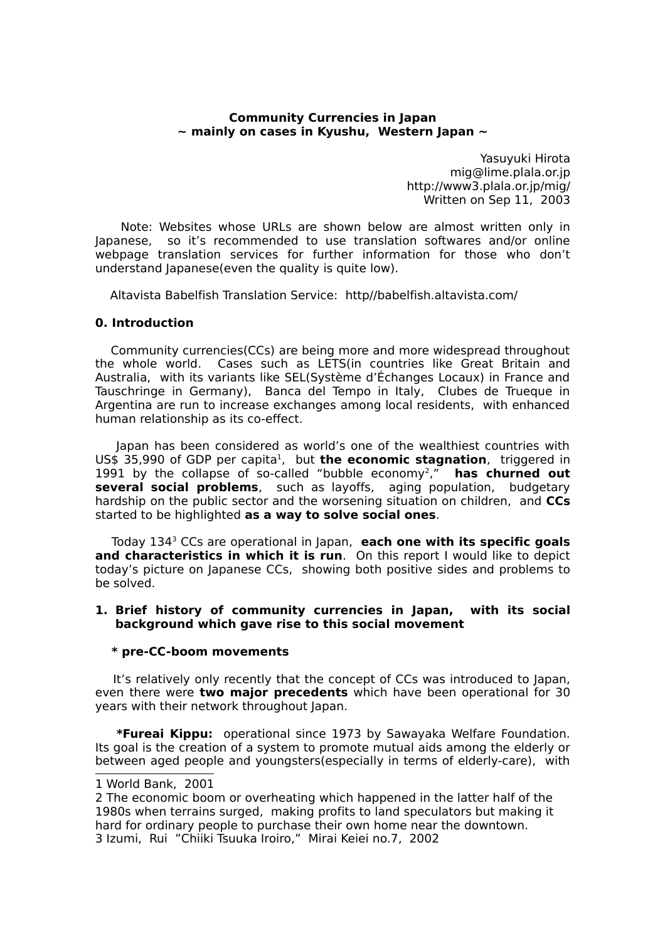## **Community Currencies in Japan ~ mainly on cases in Kyushu, Western Japan ~**

Yasuyuki Hirota mig@lime.plala.or.jp http://www3.plala.or.jp/mig/ Written on Sep 11, 2003

Note: Websites whose URLs are shown below are almost written only in Japanese, so it's recommended to use translation softwares and/or online webpage translation services for further information for those who don't understand Japanese(even the quality is quite low).

Altavista Babelfish Translation Service: http//babelfish.altavista.com/

## **0. Introduction**

Community currencies(CCs) are being more and more widespread throughout the whole world. Cases such as LETS(in countries like Great Britain and Australia, with its variants like SEL(Système d'Échanges Locaux) in France and Tauschringe in Germany), Banca del Tempo in Italy, Clubes de Trueque in Argentina are run to increase exchanges among local residents, with enhanced human relationship as its co-effect.

Japan has been considered as world's one of the wealthiest countries with US\$ 35,990 of GDP per capita<sup>[1](#page-0-0)</sup>, but **the economic stagnation**, triggered in 1991 by the collapse of so-called "bubble economy[2](#page-0-1) ," **has churned out several social problems**, such as layoffs, aging population, budgetary hardship on the public sector and the worsening situation on children, and **CCs** started to be highlighted **as a way to solve social ones**.

Today 134[3](#page-0-2) CCs are operational in Japan, **each one with its specific goals and characteristics in which it is run**. On this report I would like to depict today's picture on Japanese CCs, showing both positive sides and problems to be solved.

### **1. Brief history of community currencies in Japan, with its social background which gave rise to this social movement**

### **\* pre-CC-boom movements**

It's relatively only recently that the concept of CCs was introduced to Japan, even there were **two major precedents** which have been operational for 30 years with their network throughout Japan.

**\*Fureai Kippu:** operational since 1973 by Sawayaka Welfare Foundation. Its goal is the creation of a system to promote mutual aids among the elderly or between aged people and youngsters(especially in terms of elderly-care), with

<span id="page-0-0"></span><sup>1</sup> World Bank, 2001

<span id="page-0-2"></span><span id="page-0-1"></span><sup>2</sup> The economic boom or overheating which happened in the latter half of the 1980s when terrains surged, making profits to land speculators but making it hard for ordinary people to purchase their own home near the downtown. 3 Izumi, Rui "Chiiki Tsuuka Iroiro," Mirai Keiei no.7, 2002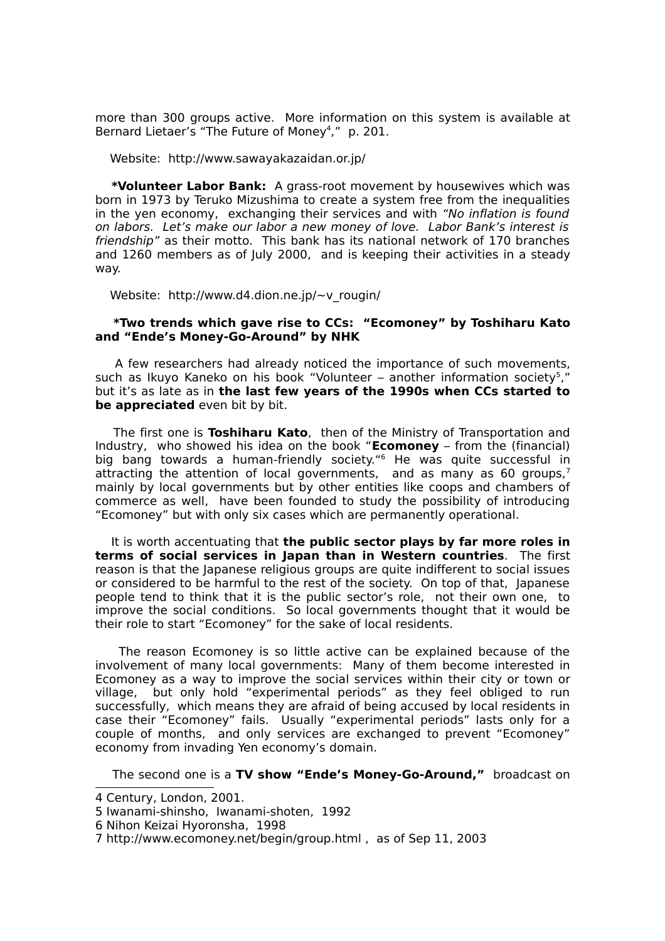more than 300 groups active. More information on this system is available at Bernard Lietaer's "The Future of Money<sup>[4](#page-1-0)</sup>," p. 201.

Website: http://www.sawayakazaidan.or.jp/

**\*Volunteer Labor Bank:** A grass-root movement by housewives which was born in 1973 by Teruko Mizushima to create a system free from the inequalities in the yen economy, exchanging their services and with "No inflation is found on labors. Let's make our labor a new money of love. Labor Bank's interest is friendship" as their motto. This bank has its national network of 170 branches and 1260 members as of July 2000, and is keeping their activities in a steady way.

Website: http://www.d4.dion.ne.jp/~v\_rougin/

### **\*Two trends which gave rise to CCs: "Ecomoney" by Toshiharu Kato and "Ende's Money-Go-Around" by NHK**

A few researchers had already noticed the importance of such movements, such as Ikuyo Kaneko on his book "Volunteer – another information society<sup>[5](#page-1-1)</sup>," but it's as late as in **the last few years of the 1990s when CCs started to be appreciated** even bit by bit.

The first one is **Toshiharu Kato**, then of the Ministry of Transportation and Industry, who showed his idea on the book "**Ecomoney** – from the (financial) big bang towards a human-friendly society." [6](#page-1-2) He was quite successful in attracting the attention of local governments, and as many as 60 groups,<sup>[7](#page-1-3)</sup> mainly by local governments but by other entities like coops and chambers of commerce as well, have been founded to study the possibility of introducing "Ecomoney" but with only six cases which are permanently operational.

It is worth accentuating that **the public sector plays by far more roles in terms of social services in Japan than in Western countries**. The first reason is that the Japanese religious groups are quite indifferent to social issues or considered to be harmful to the rest of the society. On top of that, Japanese people tend to think that it is the public sector's role, not their own one, to improve the social conditions. So local governments thought that it would be their role to start "Ecomoney" for the sake of local residents.

The reason Ecomoney is so little active can be explained because of the involvement of many local governments: Many of them become interested in Ecomoney as a way to improve the social services within their city or town or village, but only hold "experimental periods" as they feel obliged to run successfully, which means they are afraid of being accused by local residents in case their "Ecomoney" fails. Usually "experimental periods" lasts only for a couple of months, and only services are exchanged to prevent "Ecomoney" economy from invading Yen economy's domain.

The second one is a **TV show "Ende's Money-Go-Around,"** broadcast on

<span id="page-1-0"></span><sup>4</sup> Century, London, 2001.

<span id="page-1-1"></span><sup>5</sup> Iwanami-shinsho, Iwanami-shoten, 1992

<span id="page-1-2"></span><sup>6</sup> Nihon Keizai Hyoronsha, 1998

<span id="page-1-3"></span><sup>7</sup> http://www.ecomoney.net/begin/group.html , as of Sep 11, 2003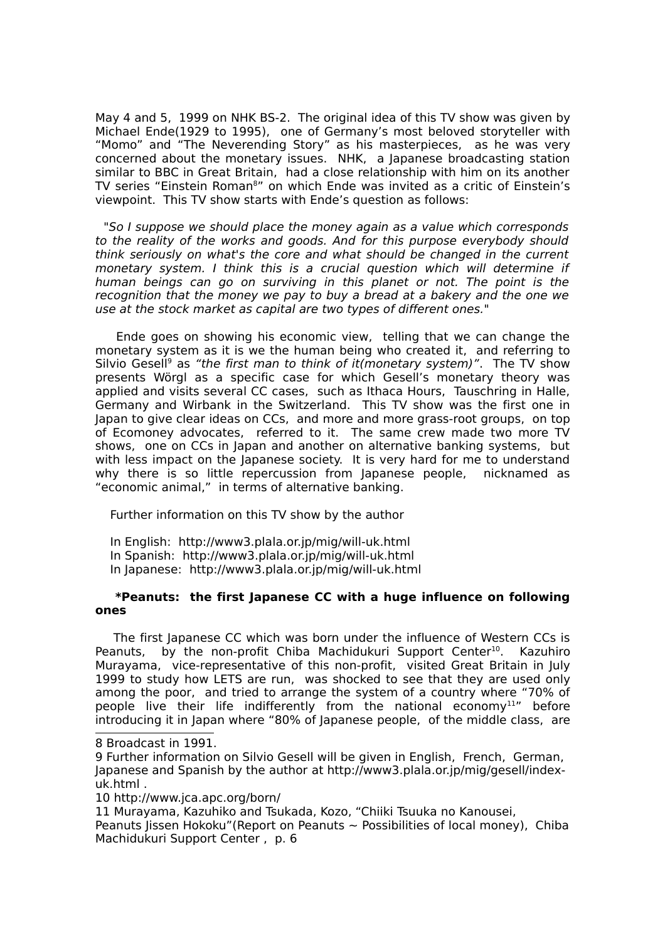May 4 and 5, 1999 on NHK BS-2. The original idea of this TV show was given by Michael Ende(1929 to 1995), one of Germany's most beloved storyteller with "Momo" and "The Neverending Story" as his masterpieces, as he was very concerned about the monetary issues. NHK, a Japanese broadcasting station similar to BBC in Great Britain, had a close relationship with him on its another TV series "Einstein Roman<sup>[8](#page-2-0)</sup>" on which Ende was invited as a critic of Einstein's viewpoint. This TV show starts with Ende's question as follows:

"So I suppose we should place the money again as a value which corresponds to the reality of the works and goods. And for this purpose everybody should think seriously on what's the core and what should be changed in the current monetary system. I think this is a crucial question which will determine if human beings can go on surviving in this planet or not. The point is the recognition that the money we pay to buy a bread at a bakery and the one we use at the stock market as capital are two types of different ones."

Ende goes on showing his economic view, telling that we can change the monetary system as it is we the human being who created it, and referring to Silvio Gesell<sup>[9](#page-2-1)</sup> as "the first man to think of it(monetary system)". The TV show presents Wörgl as a specific case for which Gesell's monetary theory was applied and visits several CC cases, such as Ithaca Hours, Tauschring in Halle, Germany and Wirbank in the Switzerland. This TV show was the first one in Japan to give clear ideas on CCs, and more and more grass-root groups, on top of Ecomoney advocates, referred to it. The same crew made two more TV shows, one on CCs in Japan and another on alternative banking systems, but with less impact on the Japanese society. It is very hard for me to understand why there is so little repercussion from Japanese people, nicknamed as "economic animal," in terms of alternative banking.

Further information on this TV show by the author

 In English: http://www3.plala.or.jp/mig/will-uk.html In Spanish: http://www3.plala.or.jp/mig/will-uk.html In Japanese: http://www3.plala.or.jp/mig/will-uk.html

### **\*Peanuts: the first Japanese CC with a huge influence on following ones**

The first Japanese CC which was born under the influence of Western CCs is Peanuts, by the non-profit Chiba Machidukuri Support Center<sup>[10](#page-2-2)</sup>. Kazuhiro Murayama, vice-representative of this non-profit, visited Great Britain in July 1999 to study how LETS are run, was shocked to see that they are used only among the poor, and tried to arrange the system of a country where "70% of people live their life indifferently from the national economy<sup>[11](#page-2-3)</sup>" before introducing it in Japan where "80% of Japanese people, of the middle class, are

<span id="page-2-2"></span>10 http://www.jca.apc.org/born/

<span id="page-2-3"></span>11 Murayama, Kazuhiko and Tsukada, Kozo, "Chiiki Tsuuka no Kanousei,

Peanuts Jissen Hokoku"(Report on Peanuts  $\sim$  Possibilities of local money), Chiba Machidukuri Support Center, p. 6

<span id="page-2-0"></span><sup>8</sup> Broadcast in 1991.

<span id="page-2-1"></span><sup>9</sup> Further information on Silvio Gesell will be given in English, French, German, Japanese and Spanish by the author at http://www3.plala.or.jp/mig/gesell/indexuk.html .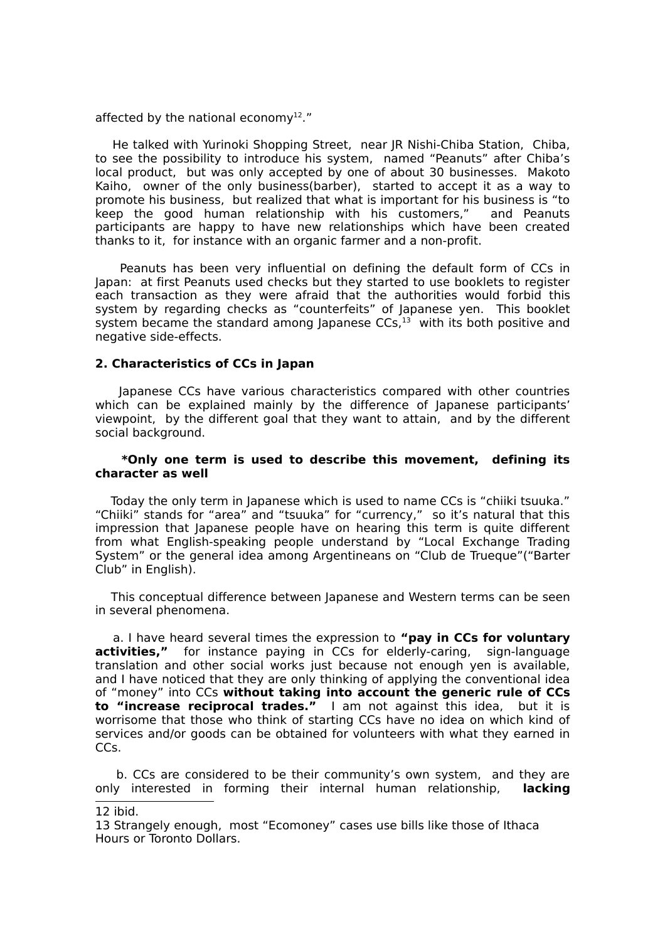affected by the national economy<sup>[12](#page-3-0)</sup>."

He talked with Yurinoki Shopping Street, near JR Nishi-Chiba Station, Chiba, to see the possibility to introduce his system, named "Peanuts" after Chiba's local product, but was only accepted by one of about 30 businesses. Makoto Kaiho, owner of the only business(barber), started to accept it as a way to promote his business, but realized that what is important for his business is "to keep the good human relationship with his customers," and Peanuts participants are happy to have new relationships which have been created thanks to it, for instance with an organic farmer and a non-profit.

Peanuts has been very influential on defining the default form of CCs in Japan: at first Peanuts used checks but they started to use booklets to register each transaction as they were afraid that the authorities would forbid this system by regarding checks as "counterfeits" of Japanese yen. This booklet system became the standard among Japanese  $CCs<sub>13</sub>$  $CCs<sub>13</sub>$  $CCs<sub>13</sub>$  with its both positive and negative side-effects.

### **2. Characteristics of CCs in Japan**

Japanese CCs have various characteristics compared with other countries which can be explained mainly by the difference of Japanese participants' viewpoint, by the different goal that they want to attain, and by the different social background.

### **\*Only one term is used to describe this movement, defining its character as well**

Today the only term in Japanese which is used to name CCs is "chiiki tsuuka." "Chiiki" stands for "area" and "tsuuka" for "currency," so it's natural that this impression that Japanese people have on hearing this term is quite different from what English-speaking people understand by "Local Exchange Trading System" or the general idea among Argentineans on "Club de Trueque"("Barter Club" in English).

This conceptual difference between Japanese and Western terms can be seen in several phenomena.

a. I have heard several times the expression to **"pay in CCs for voluntary activities,"** for instance paying in CCs for elderly-caring, sign-language translation and other social works just because not enough yen is available, and I have noticed that they are only thinking of applying the conventional idea of "money" into CCs **without taking into account the generic rule of CCs to "increase reciprocal trades."** I am not against this idea, but it is worrisome that those who think of starting CCs have no idea on which kind of services and/or goods can be obtained for volunteers with what they earned in CCs.

b. CCs are considered to be their community's own system, and they are only interested in forming their internal human relationship, **lacking**

<span id="page-3-0"></span><sup>12</sup> ibid.

<span id="page-3-1"></span><sup>13</sup> Strangely enough, most "Ecomoney" cases use bills like those of Ithaca Hours or Toronto Dollars.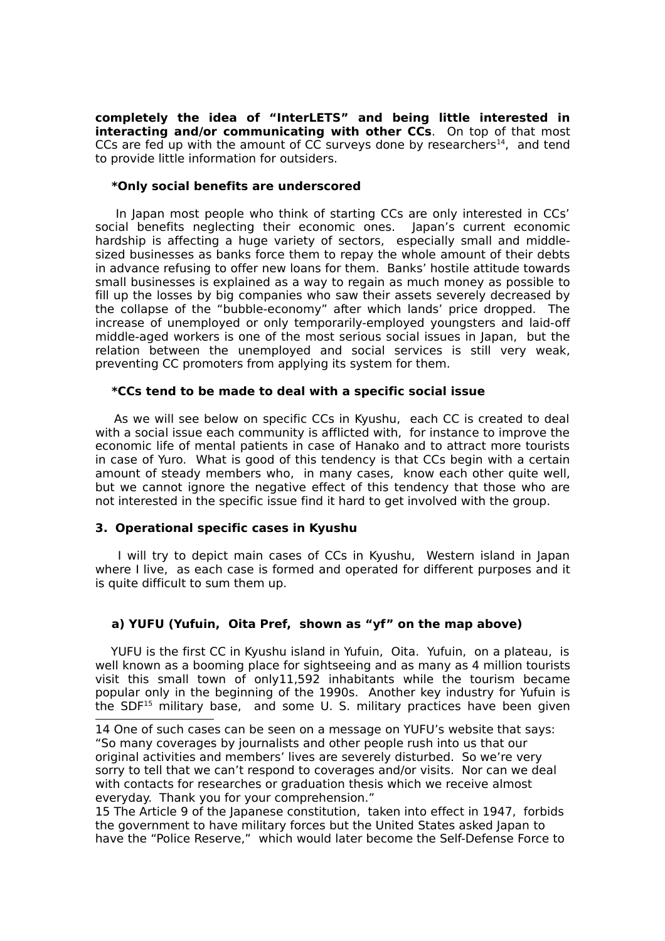**completely the idea of "InterLETS" and being little interested in interacting and/or communicating with other CCs**. On top of that most CCs are fed up with the amount of CC surveys done by researchers $^{14}$  $^{14}$  $^{14}$ , and tend to provide little information for outsiders.

### **\*Only social benefits are underscored**

In Japan most people who think of starting CCs are only interested in CCs' social benefits neglecting their economic ones. Japan's current economic hardship is affecting a huge variety of sectors, especially small and middlesized businesses as banks force them to repay the whole amount of their debts in advance refusing to offer new loans for them. Banks' hostile attitude towards small businesses is explained as a way to regain as much money as possible to fill up the losses by big companies who saw their assets severely decreased by the collapse of the "bubble-economy" after which lands' price dropped. The increase of unemployed or only temporarily-employed youngsters and laid-off middle-aged workers is one of the most serious social issues in Japan, but the relation between the unemployed and social services is still very weak, preventing CC promoters from applying its system for them.

# **\*CCs tend to be made to deal with a specific social issue**

As we will see below on specific CCs in Kyushu, each CC is created to deal with a social issue each community is afflicted with, for instance to improve the economic life of mental patients in case of Hanako and to attract more tourists in case of Yuro. What is good of this tendency is that CCs begin with a certain amount of steady members who, in many cases, know each other quite well, but we cannot ignore the negative effect of this tendency that those who are not interested in the specific issue find it hard to get involved with the group.

# **3. Operational specific cases in Kyushu**

I will try to depict main cases of CCs in Kyushu, Western island in Japan where I live, as each case is formed and operated for different purposes and it is quite difficult to sum them up.

# **a) YUFU (Yufuin, Oita Pref, shown as "yf" on the map above)**

YUFU is the first CC in Kyushu island in Yufuin, Oita. Yufuin, on a plateau, is well known as a booming place for sightseeing and as many as 4 million tourists visit this small town of only11,592 inhabitants while the tourism became popular only in the beginning of the 1990s. Another key industry for Yufuin is the SDF<sup>[15](#page-4-1)</sup> military base, and some U. S. military practices have been given

<span id="page-4-0"></span><sup>14</sup> One of such cases can be seen on a message on YUFU's website that says: "So many coverages by journalists and other people rush into us that our original activities and members' lives are severely disturbed. So we're very sorry to tell that we can't respond to coverages and/or visits. Nor can we deal with contacts for researches or graduation thesis which we receive almost everyday. Thank you for your comprehension."

<span id="page-4-1"></span><sup>15</sup> The Article 9 of the Japanese constitution, taken into effect in 1947, forbids the government to have military forces but the United States asked Japan to have the "Police Reserve," which would later become the Self-Defense Force to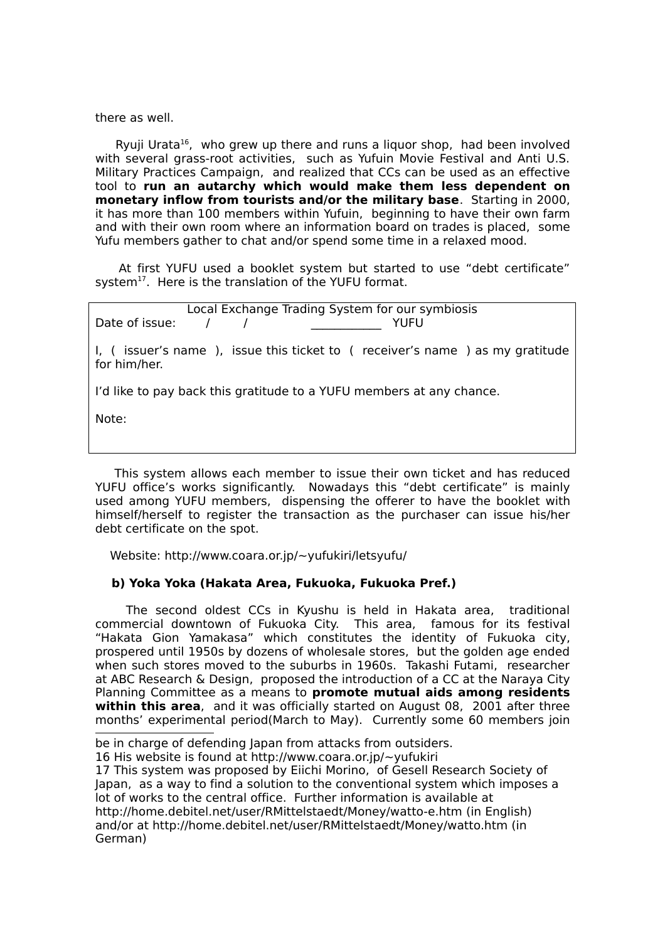there as well.

Ryuji Urata<sup>[16](#page-5-0)</sup>, who grew up there and runs a liquor shop, had been involved with several grass-root activities, such as Yufuin Movie Festival and Anti U.S. Military Practices Campaign, and realized that CCs can be used as an effective tool to **run an autarchy which would make them less dependent on monetary inflow from tourists and/or the military base**. Starting in 2000, it has more than 100 members within Yufuin, beginning to have their own farm and with their own room where an information board on trades is placed, some Yufu members gather to chat and/or spend some time in a relaxed mood.

At first YUFU used a booklet system but started to use "debt certificate" system<sup>[17](#page-5-1)</sup>. Here is the translation of the YUFU format.

Local Exchange Trading System for our symbiosis Date of issue: / / \_\_\_\_\_\_\_\_\_\_\_\_ YUFU I, ( issuer's name ), issue this ticket to ( receiver's name ) as my gratitude for him/her. I'd like to pay back this gratitude to a YUFU members at any chance. Note:

This system allows each member to issue their own ticket and has reduced YUFU office's works significantly. Nowadays this "debt certificate" is mainly used among YUFU members, dispensing the offerer to have the booklet with himself/herself to register the transaction as the purchaser can issue his/her debt certificate on the spot.

Website: http://www.coara.or.jp/~yufukiri/letsyufu/

### **b) Yoka Yoka (Hakata Area, Fukuoka, Fukuoka Pref.)**

The second oldest CCs in Kyushu is held in Hakata area, traditional commercial downtown of Fukuoka City. This area, famous for its festival "Hakata Gion Yamakasa" which constitutes the identity of Fukuoka city, prospered until 1950s by dozens of wholesale stores, but the golden age ended when such stores moved to the suburbs in 1960s. Takashi Futami, researcher at ABC Research & Design, proposed the introduction of a CC at the Naraya City Planning Committee as a means to **promote mutual aids among residents within this area**, and it was officially started on August 08, 2001 after three months' experimental period(March to May). Currently some 60 members join

be in charge of defending Japan from attacks from outsiders.

<span id="page-5-0"></span><sup>16</sup> His website is found at http://www.coara.or.jp/~yufukiri

<span id="page-5-1"></span><sup>17</sup> This system was proposed by Eiichi Morino, of Gesell Research Society of Japan, as a way to find a solution to the conventional system which imposes a lot of works to the central office. Further information is available at http://home.debitel.net/user/RMittelstaedt/Money/watto-e.htm (in English) and/or at http://home.debitel.net/user/RMittelstaedt/Money/watto.htm (in German)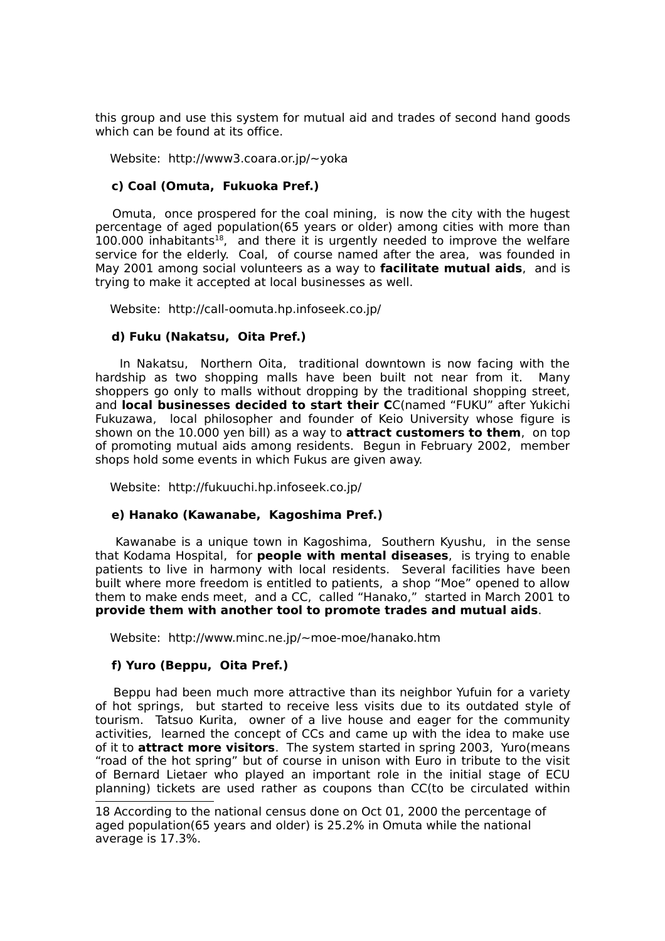this group and use this system for mutual aid and trades of second hand goods which can be found at its office.

Website: http://www3.coara.or.jp/~yoka

### **c) Coal (Omuta, Fukuoka Pref.)**

Omuta, once prospered for the coal mining, is now the city with the hugest percentage of aged population(65 years or older) among cities with more than  $100.000$  inhabitants<sup>[18](#page-6-0)</sup>, and there it is urgently needed to improve the welfare service for the elderly. Coal, of course named after the area, was founded in May 2001 among social volunteers as a way to **facilitate mutual aids**, and is trying to make it accepted at local businesses as well.

Website: http://call-oomuta.hp.infoseek.co.jp/

## **d) Fuku (Nakatsu, Oita Pref.)**

In Nakatsu, Northern Oita, traditional downtown is now facing with the hardship as two shopping malls have been built not near from it. Many shoppers go only to malls without dropping by the traditional shopping street, and **local businesses decided to start their C**C(named "FUKU" after Yukichi Fukuzawa, local philosopher and founder of Keio University whose figure is shown on the 10.000 yen bill) as a way to **attract customers to them**, on top of promoting mutual aids among residents. Begun in February 2002, member shops hold some events in which Fukus are given away.

Website: http://fukuuchi.hp.infoseek.co.jp/

### **e) Hanako (Kawanabe, Kagoshima Pref.)**

Kawanabe is a unique town in Kagoshima, Southern Kyushu, in the sense that Kodama Hospital, for **people with mental diseases**, is trying to enable patients to live in harmony with local residents. Several facilities have been built where more freedom is entitled to patients, a shop "Moe" opened to allow them to make ends meet, and a CC, called "Hanako," started in March 2001 to **provide them with another tool to promote trades and mutual aids**.

Website: http://www.minc.ne.jp/~moe-moe/hanako.htm

### **f) Yuro (Beppu, Oita Pref.)**

Beppu had been much more attractive than its neighbor Yufuin for a variety of hot springs, but started to receive less visits due to its outdated style of tourism. Tatsuo Kurita, owner of a live house and eager for the community activities, learned the concept of CCs and came up with the idea to make use of it to **attract more visitors**. The system started in spring 2003, Yuro(means "road of the hot spring" but of course in unison with Euro in tribute to the visit of Bernard Lietaer who played an important role in the initial stage of ECU planning) tickets are used rather as coupons than CC(to be circulated within

<span id="page-6-0"></span><sup>18</sup> According to the national census done on Oct 01, 2000 the percentage of aged population(65 years and older) is 25.2% in Omuta while the national average is 17.3%.